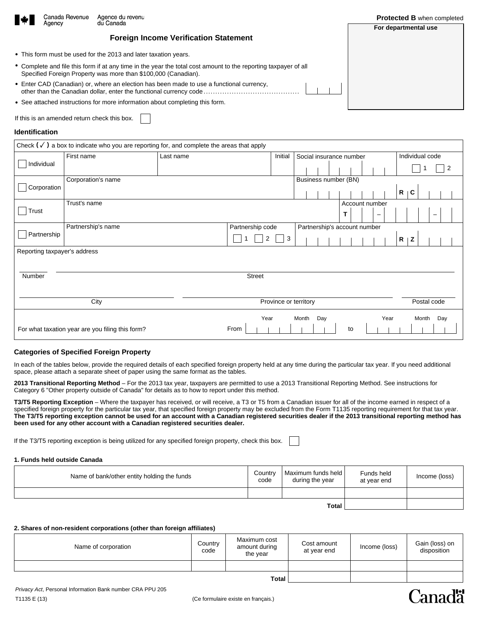

# **Foreign Income Verification Statement**

- This form must be used for the 2013 and later taxation years.
- Complete and file this form if at any time in the year the total cost amount to the reporting taxpayer of all Specified Foreign Property was more than \$100,000 (Canadian).
- Enter CAD (Canadian) or, where an election has been made to use a functional currency, other than the Canadian dollar, enter the functional currency code ................................
- See attached instructions for more information about completing this form.

If this is an amended return check this box.

#### **Identification**

| Check $(\checkmark)$ a box to indicate who you are reporting for, and complete the areas that apply |                                                  |                                                  |                |                       |                         |  |  |   |    |                 |  |   |   |                 |   |   |
|-----------------------------------------------------------------------------------------------------|--------------------------------------------------|--------------------------------------------------|----------------|-----------------------|-------------------------|--|--|---|----|-----------------|--|---|---|-----------------|---|---|
|                                                                                                     | First name                                       | Last name                                        |                | Initial               | Social insurance number |  |  |   |    |                 |  |   |   | Individual code |   |   |
| Individual                                                                                          |                                                  |                                                  |                |                       |                         |  |  |   |    |                 |  |   |   |                 |   | 2 |
|                                                                                                     | Corporation's name                               |                                                  |                |                       | Business number (BN)    |  |  |   |    |                 |  |   |   |                 |   |   |
| Corporation                                                                                         |                                                  |                                                  |                |                       |                         |  |  |   |    |                 |  | R | C |                 |   |   |
|                                                                                                     | Trust's name                                     |                                                  |                |                       |                         |  |  |   |    | Account number  |  |   |   |                 |   |   |
| Trust                                                                                               |                                                  |                                                  |                |                       |                         |  |  | т |    | $\qquad \qquad$ |  |   |   |                 | - |   |
|                                                                                                     | Partnership's name                               | Partnership code<br>Partnership's account number |                |                       |                         |  |  |   |    |                 |  |   |   |                 |   |   |
| Partnership                                                                                         |                                                  |                                                  | $\overline{2}$ | 3                     |                         |  |  |   |    |                 |  | R | z |                 |   |   |
| Reporting taxpayer's address                                                                        |                                                  |                                                  |                |                       |                         |  |  |   |    |                 |  |   |   |                 |   |   |
|                                                                                                     |                                                  |                                                  |                |                       |                         |  |  |   |    |                 |  |   |   |                 |   |   |
| Number                                                                                              |                                                  |                                                  | Street         |                       |                         |  |  |   |    |                 |  |   |   |                 |   |   |
|                                                                                                     |                                                  |                                                  |                |                       |                         |  |  |   |    |                 |  |   |   |                 |   |   |
|                                                                                                     | City                                             |                                                  |                | Province or territory |                         |  |  |   |    |                 |  |   |   | Postal code     |   |   |
| Day<br>Year<br>Month<br>Year<br>Month<br>Day                                                        |                                                  |                                                  |                |                       |                         |  |  |   |    |                 |  |   |   |                 |   |   |
|                                                                                                     | For what taxation year are you filing this form? |                                                  | From           |                       |                         |  |  |   | to |                 |  |   |   |                 |   |   |

**Protected B** when completed

Canad

**For departmental use**

#### **Categories of Specified Foreign Property**

In each of the tables below, provide the required details of each specified foreign property held at any time during the particular tax year. If you need additional space, please attach a separate sheet of paper using the same format as the tables.

**2013 Transitional Reporting Method** – For the 2013 tax year, taxpayers are permitted to use a 2013 Transitional Reporting Method. See instructions for Category 6 "Other property outside of Canada" for details as to how to report under this method.

**T3/T5 Reporting Exception** – Where the taxpayer has received, or will receive, a T3 or T5 from a Canadian issuer for all of the income earned in respect of a specified foreign property for the particular tax year, that specified foreign property may be excluded from the Form T1135 reporting requirement for that tax year. **The T3/T5 reporting exception cannot be used for an account with a Canadian registered securities dealer if the 2013 transitional reporting method has been used for any other account with a Canadian registered securities dealer.**

If the T3/T5 reporting exception is being utilized for any specified foreign property, check this box.

#### **1. Funds held outside Canada**

| Name of bank/other entity holding the funds | Country<br>code | Maximum funds held<br>during the year | Funds held<br>at year end | Income (loss) |
|---------------------------------------------|-----------------|---------------------------------------|---------------------------|---------------|
|                                             |                 |                                       |                           |               |
|                                             | Total I         |                                       |                           |               |

### **2. Shares of non-resident corporations (other than foreign affiliates)**

| Name of corporation | Country<br>code | Maximum cost<br>Cost amount<br>amount during<br>at year end<br>the year |  | Income (loss) | Gain (loss) on<br>disposition |
|---------------------|-----------------|-------------------------------------------------------------------------|--|---------------|-------------------------------|
|                     |                 |                                                                         |  |               |                               |
|                     |                 |                                                                         |  |               |                               |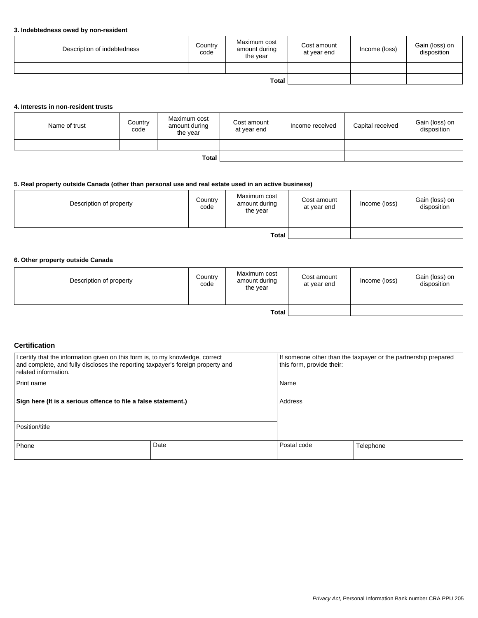# **3. Indebtedness owed by non-resident**

| Description of indebtedness | Country<br>code | Maximum cost<br>amount during<br>the year | Cost amount<br>at year end | Income (loss) | Gain (loss) on<br>disposition |
|-----------------------------|-----------------|-------------------------------------------|----------------------------|---------------|-------------------------------|
|                             |                 |                                           |                            |               |                               |
|                             |                 |                                           |                            |               |                               |

#### **4. Interests in non-resident trusts**

| Name of trust | Country<br>code | Maximum cost<br>amount during<br>the year | Cost amount<br>at year end | Income received | Capital received | Gain (loss) on<br>disposition |
|---------------|-----------------|-------------------------------------------|----------------------------|-----------------|------------------|-------------------------------|
|               |                 |                                           |                            |                 |                  |                               |
|               |                 | <b>Total</b>                              |                            |                 |                  |                               |

# **5. Real property outside Canada (other than personal use and real estate used in an active business)**

| Description of property | Country<br>code | Maximum cost<br>amount during<br>the year | Cost amount<br>at year end | Income (loss) | Gain (loss) on<br>disposition |
|-------------------------|-----------------|-------------------------------------------|----------------------------|---------------|-------------------------------|
|                         |                 |                                           |                            |               |                               |
|                         |                 |                                           |                            |               |                               |

### **6. Other property outside Canada**

| Description of property | Country<br>code | Maximum cost<br>amount during<br>the year | Cost amount<br>at year end | Income (loss) | Gain (loss) on<br>disposition |
|-------------------------|-----------------|-------------------------------------------|----------------------------|---------------|-------------------------------|
|                         |                 |                                           |                            |               |                               |
|                         |                 |                                           |                            |               |                               |

## **Certification**

| I certify that the information given on this form is, to my knowledge, correct<br>and complete, and fully discloses the reporting taxpayer's foreign property and<br>related information. | If someone other than the taxpayer or the partnership prepared<br>this form, provide their: |             |           |  |  |
|-------------------------------------------------------------------------------------------------------------------------------------------------------------------------------------------|---------------------------------------------------------------------------------------------|-------------|-----------|--|--|
| Print name                                                                                                                                                                                | Name                                                                                        |             |           |  |  |
| Sign here (It is a serious offence to file a false statement.)                                                                                                                            |                                                                                             | Address     |           |  |  |
| Position/title                                                                                                                                                                            |                                                                                             |             |           |  |  |
| Phone                                                                                                                                                                                     | Date                                                                                        | Postal code | Telephone |  |  |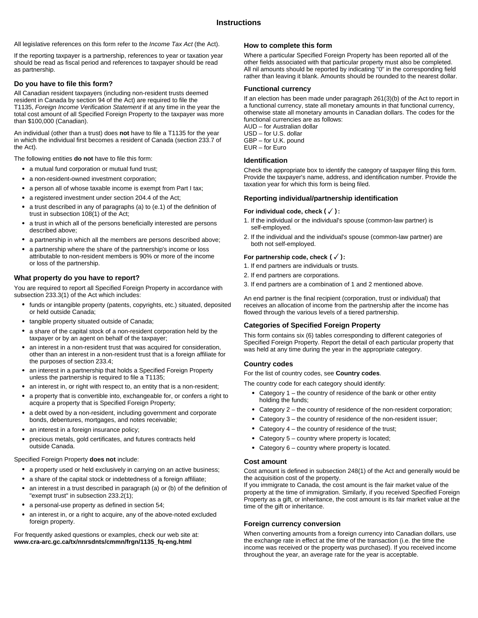## **Instructions**

All legislative references on this form refer to the *Income Tax Act* (the Act).

If the reporting taxpayer is a partnership, references to year or taxation year should be read as fiscal period and references to taxpayer should be read as partnership.

### **Do you have to file this form?**

All Canadian resident taxpayers (including non-resident trusts deemed resident in Canada by section 94 of the Act) are required to file the T1135, *Foreign Income Verification Statement* if at any time in the year the total cost amount of all Specified Foreign Property to the taxpayer was more than \$100,000 (Canadian).

An individual (other than a trust) does **not** have to file a T1135 for the year in which the individual first becomes a resident of Canada (section 233.7 of the Act).

The following entities **do not** have to file this form:

- a mutual fund corporation or mutual fund trust;
- a non-resident-owned investment corporation;
- a person all of whose taxable income is exempt from Part I tax;
- a registered investment under section 204.4 of the Act;
- a trust described in any of paragraphs (a) to (e.1) of the definition of trust in subsection 108(1) of the Act;
- a trust in which all of the persons beneficially interested are persons described above;
- a partnership in which all the members are persons described above;
- a partnership where the share of the partnership's income or loss attributable to non-resident members is 90% or more of the income or loss of the partnership.

### **What property do you have to report?**

You are required to report all Specified Foreign Property in accordance with subsection 233.3(1) of the Act which includes:

- funds or intangible property (patents, copyrights, etc.) situated, deposited or held outside Canada;
- tangible property situated outside of Canada;
- a share of the capital stock of a non-resident corporation held by the taxpayer or by an agent on behalf of the taxpayer;
- an interest in a non-resident trust that was acquired for consideration, other than an interest in a non-resident trust that is a foreign affiliate for the purposes of section 233.4;
- an interest in a partnership that holds a Specified Foreign Property unless the partnership is required to file a T1135;
- an interest in, or right with respect to, an entity that is a non-resident;
- a property that is convertible into, exchangeable for, or confers a right to acquire a property that is Specified Foreign Property;
- a debt owed by a non-resident, including government and corporate bonds, debentures, mortgages, and notes receivable;
- an interest in a foreign insurance policy;
- precious metals, gold certificates, and futures contracts held outside Canada.

#### Specified Foreign Property **does not** include:

- a property used or held exclusively in carrying on an active business;
- a share of the capital stock or indebtedness of a foreign affiliate;
- an interest in a trust described in paragraph (a) or (b) of the definition of "exempt trust" in subsection 233.2(1);
- a personal-use property as defined in section 54;
- an interest in, or a right to acquire, any of the above-noted excluded foreign property.

For frequently asked questions or examples, check our web site at: **www.cra-arc.gc.ca/tx/nnrsdnts/cmmn/frgn/1135\_fq-eng.html**

#### **How to complete this form**

Where a particular Specified Foreign Property has been reported all of the other fields associated with that particular property must also be completed. All nil amounts should be reported by indicating "0" in the corresponding field rather than leaving it blank. Amounts should be rounded to the nearest dollar.

### **Functional currency**

If an election has been made under paragraph 261(3)(b) of the Act to report in a functional currency, state all monetary amounts in that functional currency, otherwise state all monetary amounts in Canadian dollars. The codes for the functional currencies are as follows:

AUD – for Australian dollar USD – for U.S. dollar GBP – for U.K. pound EUR – for Euro

## **Identification**

Check the appropriate box to identify the category of taxpayer filing this form. Provide the taxpayer's name, address, and identification number. Provide the taxation year for which this form is being filed.

#### **Reporting individual/partnership identification**

#### For individual code, check  $(\sqrt{})$  :

- 1. If the individual or the individual's spouse (common-law partner) is self-employed.
- 2. If the individual and the individual's spouse (common-law partner) are both not self-employed.

#### **For partnership code, check (√):**

- 1. If end partners are individuals or trusts.
- 2. If end partners are corporations.
- 3. If end partners are a combination of 1 and 2 mentioned above.

An end partner is the final recipient (corporation, trust or individual) that receives an allocation of income from the partnership after the income has flowed through the various levels of a tiered partnership.

## **Categories of Specified Foreign Property**

This form contains six (6) tables corresponding to different categories of Specified Foreign Property. Report the detail of each particular property that was held at any time during the year in the appropriate category.

#### **Country codes**

For the list of country codes, see **Country codes**.

The country code for each category should identify:

- Category 1 the country of residence of the bank or other entity holding the funds;
- Category 2 the country of residence of the non-resident corporation;
- Category 3 the country of residence of the non-resident issuer;
- Category  $4$  the country of residence of the trust;
- Category 5 country where property is located;
- Category 6 country where property is located.

#### **Cost amount**

Cost amount is defined in subsection 248(1) of the Act and generally would be the acquisition cost of the property.

If you immigrate to Canada, the cost amount is the fair market value of the property at the time of immigration. Similarly, if you received Specified Foreign Property as a gift, or inheritance, the cost amount is its fair market value at the time of the gift or inheritance.

## **Foreign currency conversion**

When converting amounts from a foreign currency into Canadian dollars, use the exchange rate in effect at the time of the transaction (i.e. the time the income was received or the property was purchased). If you received income throughout the year, an average rate for the year is acceptable.